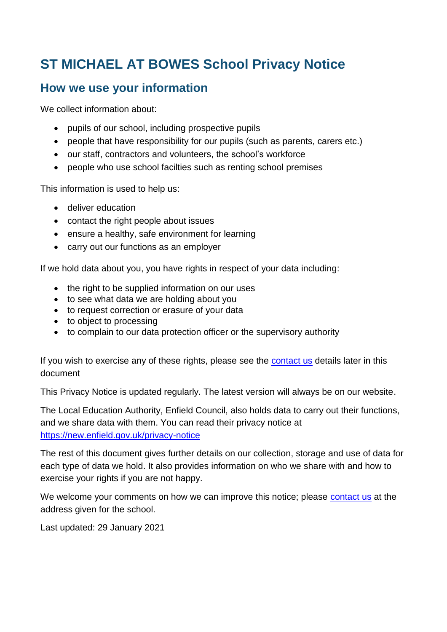# **ST MICHAEL AT BOWES School Privacy Notice**

## **How we use your information**

We collect information about:

- pupils of our school, including prospective pupils
- people that have responsibility for our pupils (such as parents, carers etc.)
- our staff, contractors and volunteers, the school's workforce
- people who use school facilties such as renting school premises

This information is used to help us:

- deliver education
- contact the right people about issues
- ensure a healthy, safe environment for learning
- carry out our functions as an employer

If we hold data about you, you have rights in respect of your data including:

- the right to be supplied information on our uses
- to see what data we are holding about you
- to request correction or erasure of your data
- to object to processing
- to complain to our data protection officer or the supervisory authority

If you wish to exercise any of these rights, please see the [contact us](#page-4-0) details later in this document

This Privacy Notice is updated regularly. The latest version will always be on our website.

The Local Education Authority, Enfield Council, also holds data to carry out their functions, and we share data with them. You can read their privacy notice at <https://new.enfield.gov.uk/privacy-notice>

The rest of this document gives further details on our collection, storage and use of data for each type of data we hold. It also provides information on who we share with and how to exercise your rights if you are not happy.

We welcome your comments on how we can improve this notice; please [contact us](#page-4-0) at the address given for the school.

Last updated: 29 January 2021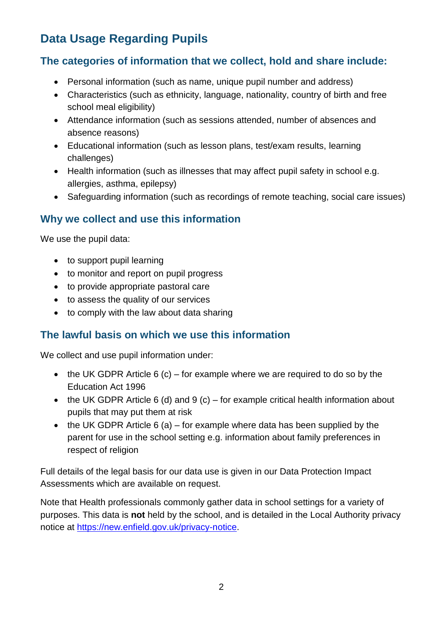# **Data Usage Regarding Pupils**

### **The categories of information that we collect, hold and share include:**

- Personal information (such as name, unique pupil number and address)
- Characteristics (such as ethnicity, language, nationality, country of birth and free school meal eligibility)
- Attendance information (such as sessions attended, number of absences and absence reasons)
- Educational information (such as lesson plans, test/exam results, learning challenges)
- Health information (such as illnesses that may affect pupil safety in school e.g. allergies, asthma, epilepsy)
- Safeguarding information (such as recordings of remote teaching, social care issues)

#### **Why we collect and use this information**

We use the pupil data:

- to support pupil learning
- to monitor and report on pupil progress
- to provide appropriate pastoral care
- to assess the quality of our services
- to comply with the law about data sharing

## **The lawful basis on which we use this information**

We collect and use pupil information under:

- $\bullet$  the UK GDPR Article 6 (c) for example where we are required to do so by the Education Act 1996
- the UK GDPR Article 6 (d) and 9 (c) for example critical health information about pupils that may put them at risk
- the UK GDPR Article 6 (a) for example where data has been supplied by the parent for use in the school setting e.g. information about family preferences in respect of religion

Full details of the legal basis for our data use is given in our Data Protection Impact Assessments which are available on request.

Note that Health professionals commonly gather data in school settings for a variety of purposes. This data is **not** held by the school, and is detailed in the Local Authority privacy notice at [https://new.enfield.gov.uk/privacy-notice.](https://new.enfield.gov.uk/privacy-notice)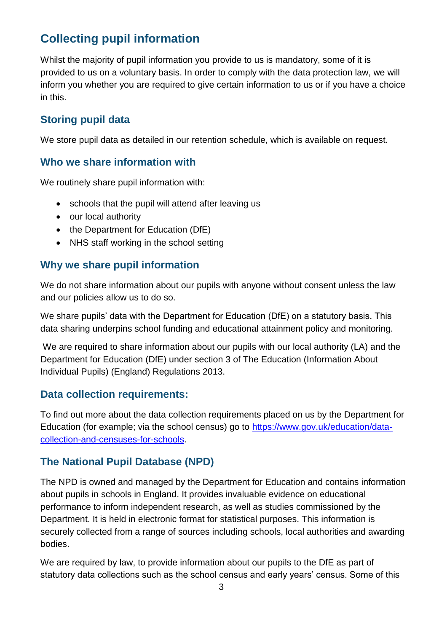# **Collecting pupil information**

Whilst the majority of pupil information you provide to us is mandatory, some of it is provided to us on a voluntary basis. In order to comply with the data protection law, we will inform you whether you are required to give certain information to us or if you have a choice in this.

## **Storing pupil data**

We store pupil data as detailed in our retention schedule, which is available on request.

#### **Who we share information with**

We routinely share pupil information with:

- schools that the pupil will attend after leaving us
- our local authority
- the Department for Education (DfE)
- NHS staff working in the school setting

### **Why we share pupil information**

We do not share information about our pupils with anyone without consent unless the law and our policies allow us to do so.

We share pupils' data with the Department for Education (DfE) on a statutory basis. This data sharing underpins school funding and educational attainment policy and monitoring.

We are required to share information about our pupils with our local authority (LA) and the Department for Education (DfE) under section 3 of The Education (Information About Individual Pupils) (England) Regulations 2013.

#### **Data collection requirements:**

To find out more about the data collection requirements placed on us by the Department for Education (for example; via the school census) go to [https://www.gov.uk/education/data](https://www.gov.uk/education/data-collection-and-censuses-for-schools)[collection-and-censuses-for-schools.](https://www.gov.uk/education/data-collection-and-censuses-for-schools)

## **The National Pupil Database (NPD)**

The NPD is owned and managed by the Department for Education and contains information about pupils in schools in England. It provides invaluable evidence on educational performance to inform independent research, as well as studies commissioned by the Department. It is held in electronic format for statistical purposes. This information is securely collected from a range of sources including schools, local authorities and awarding bodies.

We are required by law, to provide information about our pupils to the DfE as part of statutory data collections such as the school census and early years' census. Some of this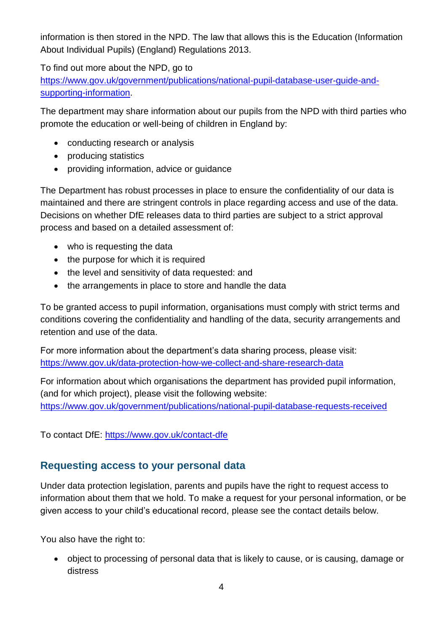information is then stored in the NPD. The law that allows this is the Education (Information About Individual Pupils) (England) Regulations 2013.

To find out more about the NPD, go to [https://www.gov.uk/government/publications/national-pupil-database-user-guide-and](https://www.gov.uk/government/publications/national-pupil-database-user-guide-and-supporting-information)[supporting-information.](https://www.gov.uk/government/publications/national-pupil-database-user-guide-and-supporting-information)

The department may share information about our pupils from the NPD with third parties who promote the education or well-being of children in England by:

- conducting research or analysis
- producing statistics
- providing information, advice or guidance

The Department has robust processes in place to ensure the confidentiality of our data is maintained and there are stringent controls in place regarding access and use of the data. Decisions on whether DfE releases data to third parties are subject to a strict approval process and based on a detailed assessment of:

- who is requesting the data
- the purpose for which it is required
- the level and sensitivity of data requested: and
- the arrangements in place to store and handle the data

To be granted access to pupil information, organisations must comply with strict terms and conditions covering the confidentiality and handling of the data, security arrangements and retention and use of the data.

For more information about the department's data sharing process, please visit: <https://www.gov.uk/data-protection-how-we-collect-and-share-research-data>

For information about which organisations the department has provided pupil information, (and for which project), please visit the following website: <https://www.gov.uk/government/publications/national-pupil-database-requests-received>

To contact DfE:<https://www.gov.uk/contact-dfe>

#### **Requesting access to your personal data**

Under data protection legislation, parents and pupils have the right to request access to information about them that we hold. To make a request for your personal information, or be given access to your child's educational record, please see the contact details below.

You also have the right to:

 object to processing of personal data that is likely to cause, or is causing, damage or distress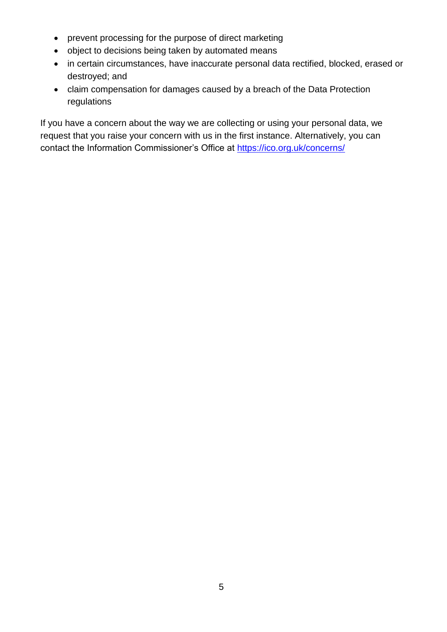- prevent processing for the purpose of direct marketing
- object to decisions being taken by automated means
- in certain circumstances, have inaccurate personal data rectified, blocked, erased or destroyed; and
- claim compensation for damages caused by a breach of the Data Protection regulations

<span id="page-4-0"></span>If you have a concern about the way we are collecting or using your personal data, we request that you raise your concern with us in the first instance. Alternatively, you can contact the Information Commissioner's Office at<https://ico.org.uk/concerns/>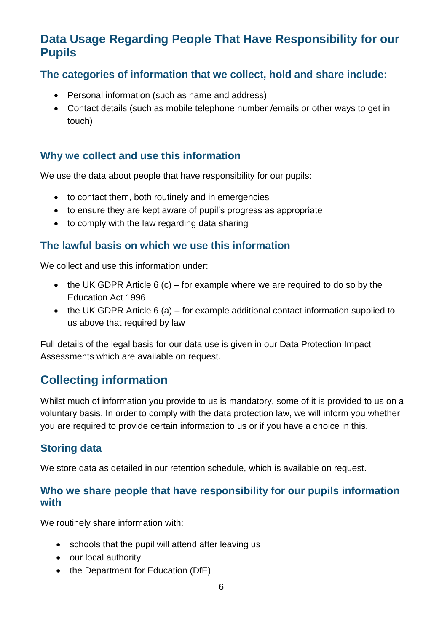## **Data Usage Regarding People That Have Responsibility for our Pupils**

#### **The categories of information that we collect, hold and share include:**

- Personal information (such as name and address)
- Contact details (such as mobile telephone number /emails or other ways to get in touch)

#### **Why we collect and use this information**

We use the data about people that have responsibility for our pupils:

- to contact them, both routinely and in emergencies
- to ensure they are kept aware of pupil's progress as appropriate
- to comply with the law regarding data sharing

#### **The lawful basis on which we use this information**

We collect and use this information under:

- the UK GDPR Article  $6$  (c) for example where we are required to do so by the Education Act 1996
- the UK GDPR Article 6 (a) for example additional contact information supplied to us above that required by law

Full details of the legal basis for our data use is given in our Data Protection Impact Assessments which are available on request.

## **Collecting information**

Whilst much of information you provide to us is mandatory, some of it is provided to us on a voluntary basis. In order to comply with the data protection law, we will inform you whether you are required to provide certain information to us or if you have a choice in this.

## **Storing data**

We store data as detailed in our retention schedule, which is available on request.

#### **Who we share people that have responsibility for our pupils information with**

We routinely share information with:

- schools that the pupil will attend after leaving us
- our local authority
- the Department for Education (DfE)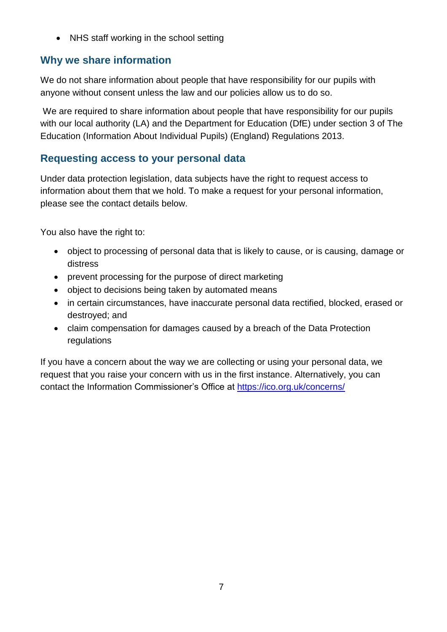• NHS staff working in the school setting

### **Why we share information**

We do not share information about people that have responsibility for our pupils with anyone without consent unless the law and our policies allow us to do so.

We are required to share information about people that have responsibility for our pupils with our local authority (LA) and the Department for Education (DfE) under section 3 of The Education (Information About Individual Pupils) (England) Regulations 2013.

#### **Requesting access to your personal data**

Under data protection legislation, data subjects have the right to request access to information about them that we hold. To make a request for your personal information, please see the contact details below.

You also have the right to:

- object to processing of personal data that is likely to cause, or is causing, damage or distress
- prevent processing for the purpose of direct marketing
- object to decisions being taken by automated means
- in certain circumstances, have inaccurate personal data rectified, blocked, erased or destroyed; and
- claim compensation for damages caused by a breach of the Data Protection regulations

If you have a concern about the way we are collecting or using your personal data, we request that you raise your concern with us in the first instance. Alternatively, you can contact the Information Commissioner's Office at<https://ico.org.uk/concerns/>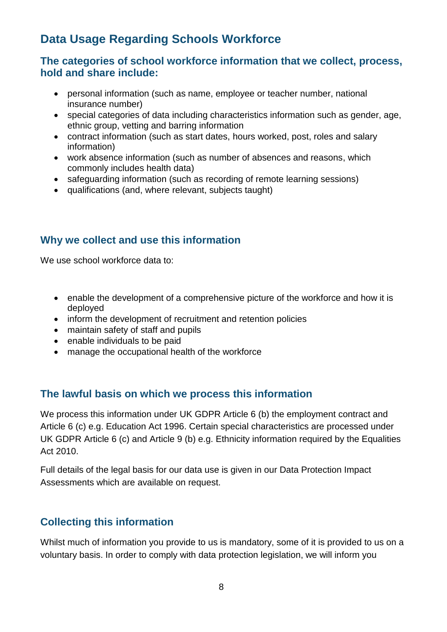# **Data Usage Regarding Schools Workforce**

#### **The categories of school workforce information that we collect, process, hold and share include:**

- personal information (such as name, employee or teacher number, national insurance number)
- special categories of data including characteristics information such as gender, age, ethnic group, vetting and barring information
- contract information (such as start dates, hours worked, post, roles and salary information)
- work absence information (such as number of absences and reasons, which commonly includes health data)
- safeguarding information (such as recording of remote learning sessions)
- qualifications (and, where relevant, subjects taught)

#### **Why we collect and use this information**

We use school workforce data to:

- enable the development of a comprehensive picture of the workforce and how it is deployed
- inform the development of recruitment and retention policies
- maintain safety of staff and pupils
- enable individuals to be paid
- manage the occupational health of the workforce

#### **The lawful basis on which we process this information**

We process this information under UK GDPR Article 6 (b) the employment contract and Article 6 (c) e.g. Education Act 1996. Certain special characteristics are processed under UK GDPR Article 6 (c) and Article 9 (b) e.g. Ethnicity information required by the Equalities Act 2010.

Full details of the legal basis for our data use is given in our Data Protection Impact Assessments which are available on request.

#### **Collecting this information**

Whilst much of information you provide to us is mandatory, some of it is provided to us on a voluntary basis. In order to comply with data protection legislation, we will inform you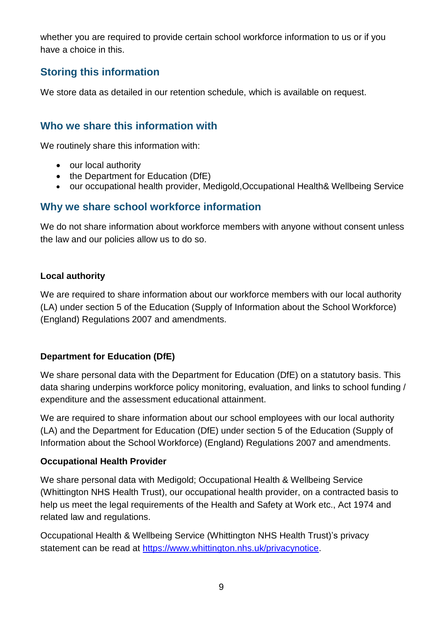whether you are required to provide certain school workforce information to us or if you have a choice in this.

### **Storing this information**

We store data as detailed in our retention schedule, which is available on request.

#### **Who we share this information with**

We routinely share this information with:

- our local authority
- the Department for Education (DfE)
- our occupational health provider, Medigold,Occupational Health& Wellbeing Service

#### **Why we share school workforce information**

We do not share information about workforce members with anyone without consent unless the law and our policies allow us to do so.

#### **Local authority**

We are required to share information about our workforce members with our local authority (LA) under section 5 of the Education (Supply of Information about the School Workforce) (England) Regulations 2007 and amendments.

#### **Department for Education (DfE)**

We share personal data with the Department for Education (DfE) on a statutory basis. This data sharing underpins workforce policy monitoring, evaluation, and links to school funding / expenditure and the assessment educational attainment.

We are required to share information about our school employees with our local authority (LA) and the Department for Education (DfE) under section 5 of the Education (Supply of Information about the School Workforce) (England) Regulations 2007 and amendments.

#### **Occupational Health Provider**

We share personal data with Medigold; Occupational Health & Wellbeing Service (Whittington NHS Health Trust), our occupational health provider, on a contracted basis to help us meet the legal requirements of the Health and Safety at Work etc., Act 1974 and related law and regulations.

Occupational Health & Wellbeing Service (Whittington NHS Health Trust)'s privacy statement can be read at [https://www.whittington.nhs.uk/privacynotice.](https://www.whittington.nhs.uk/privacynotice)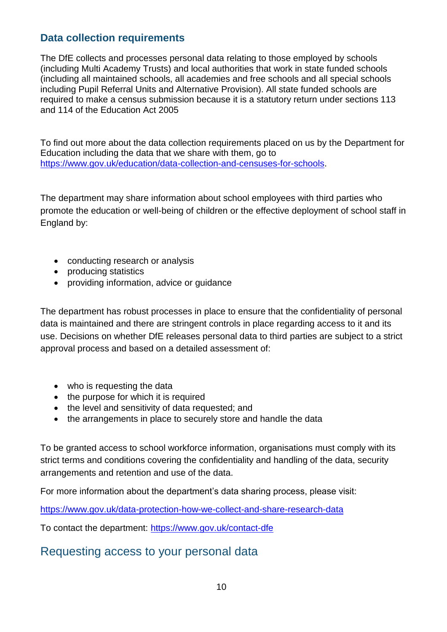#### **Data collection requirements**

The DfE collects and processes personal data relating to those employed by schools (including Multi Academy Trusts) and local authorities that work in state funded schools (including all maintained schools, all academies and free schools and all special schools including Pupil Referral Units and Alternative Provision). All state funded schools are required to make a census submission because it is a statutory return under sections 113 and 114 of the Education Act 2005

To find out more about the data collection requirements placed on us by the Department for Education including the data that we share with them, go to [https://www.gov.uk/education/data-collection-and-censuses-for-schools.](https://www.gov.uk/education/data-collection-and-censuses-for-schools)

The department may share information about school employees with third parties who promote the education or well-being of children or the effective deployment of school staff in England by:

- conducting research or analysis
- producing statistics
- providing information, advice or guidance

The department has robust processes in place to ensure that the confidentiality of personal data is maintained and there are stringent controls in place regarding access to it and its use. Decisions on whether DfE releases personal data to third parties are subject to a strict approval process and based on a detailed assessment of:

- who is requesting the data
- the purpose for which it is required
- the level and sensitivity of data requested; and
- the arrangements in place to securely store and handle the data

To be granted access to school workforce information, organisations must comply with its strict terms and conditions covering the confidentiality and handling of the data, security arrangements and retention and use of the data.

For more information about the department's data sharing process, please visit:

<https://www.gov.uk/data-protection-how-we-collect-and-share-research-data>

To contact the department:<https://www.gov.uk/contact-dfe>

## Requesting access to your personal data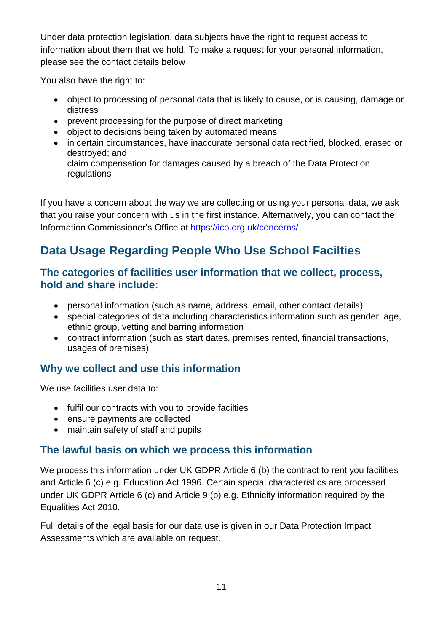Under data protection legislation, data subjects have the right to request access to information about them that we hold. To make a request for your personal information, please see the contact details below

You also have the right to:

- object to processing of personal data that is likely to cause, or is causing, damage or distress
- prevent processing for the purpose of direct marketing
- object to decisions being taken by automated means
- in certain circumstances, have inaccurate personal data rectified, blocked, erased or destroyed; and claim compensation for damages caused by a breach of the Data Protection regulations

If you have a concern about the way we are collecting or using your personal data, we ask that you raise your concern with us in the first instance. Alternatively, you can contact the Information Commissioner's Office at<https://ico.org.uk/concerns/>

# **Data Usage Regarding People Who Use School Facilties**

#### **The categories of facilities user information that we collect, process, hold and share include:**

- personal information (such as name, address, email, other contact details)
- special categories of data including characteristics information such as gender, age, ethnic group, vetting and barring information
- contract information (such as start dates, premises rented, financial transactions, usages of premises)

#### **Why we collect and use this information**

We use facilities user data to:

- fulfil our contracts with you to provide facilties
- ensure payments are collected
- maintain safety of staff and pupils

#### **The lawful basis on which we process this information**

We process this information under UK GDPR Article 6 (b) the contract to rent you facilities and Article 6 (c) e.g. Education Act 1996. Certain special characteristics are processed under UK GDPR Article 6 (c) and Article 9 (b) e.g. Ethnicity information required by the Equalities Act 2010.

Full details of the legal basis for our data use is given in our Data Protection Impact Assessments which are available on request.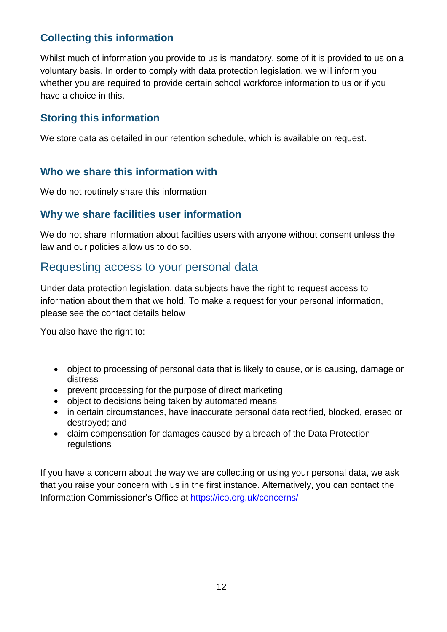## **Collecting this information**

Whilst much of information you provide to us is mandatory, some of it is provided to us on a voluntary basis. In order to comply with data protection legislation, we will inform you whether you are required to provide certain school workforce information to us or if you have a choice in this.

### **Storing this information**

We store data as detailed in our retention schedule, which is available on request.

#### **Who we share this information with**

We do not routinely share this information

#### **Why we share facilities user information**

We do not share information about facilties users with anyone without consent unless the law and our policies allow us to do so.

## Requesting access to your personal data

Under data protection legislation, data subjects have the right to request access to information about them that we hold. To make a request for your personal information, please see the contact details below

You also have the right to:

- object to processing of personal data that is likely to cause, or is causing, damage or distress
- prevent processing for the purpose of direct marketing
- object to decisions being taken by automated means
- in certain circumstances, have inaccurate personal data rectified, blocked, erased or destroyed; and
- claim compensation for damages caused by a breach of the Data Protection **regulations**

If you have a concern about the way we are collecting or using your personal data, we ask that you raise your concern with us in the first instance. Alternatively, you can contact the Information Commissioner's Office at<https://ico.org.uk/concerns/>